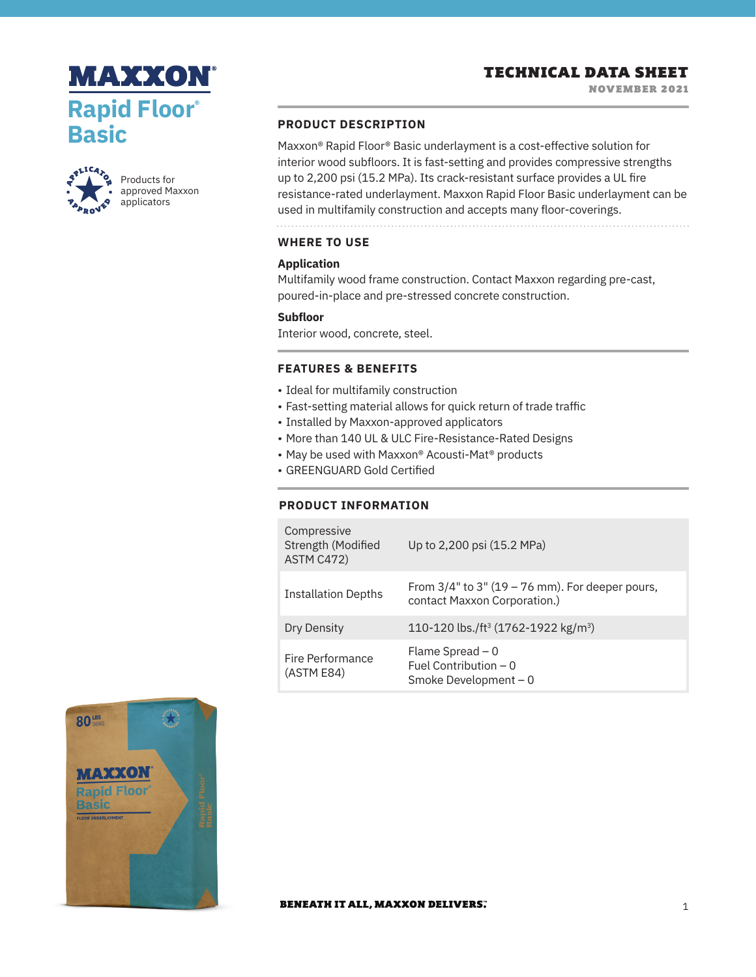# **MAXXON Rapid Floor® Basic**



Products for approved Maxxon applicators

# **PRODUCT DESCRIPTION**

Maxxon® Rapid Floor® Basic underlayment is a cost-effective solution for interior wood subfloors. It is fast-setting and provides compressive strengths up to 2,200 psi (15.2 MPa). Its crack-resistant surface provides a UL fire resistance-rated underlayment. Maxxon Rapid Floor Basic underlayment can be used in multifamily construction and accepts many floor-coverings.

# **WHERE TO USE**

# **Application**

Multifamily wood frame construction. Contact Maxxon regarding pre-cast, poured-in-place and pre-stressed concrete construction.

#### **Subfloor**

Interior wood, concrete, steel.

## **FEATURES & BENEFITS**

- Ideal for multifamily construction
- Fast-setting material allows for quick return of trade traffic
- Installed by Maxxon-approved applicators
- More than 140 UL & ULC Fire-Resistance-Rated Designs
- May be used with Maxxon® Acousti-Mat® products
- GREENGUARD Gold Certified

# **PRODUCT INFORMATION**

| Compressive<br>Strength (Modified<br>ASTM C472) | Up to 2,200 psi (15.2 MPa)                                                            |
|-------------------------------------------------|---------------------------------------------------------------------------------------|
| <b>Installation Depths</b>                      | From $3/4$ " to $3$ " (19 – 76 mm). For deeper pours,<br>contact Maxxon Corporation.) |
| Dry Density                                     | 110-120 lbs./ft <sup>3</sup> (1762-1922 kg/m <sup>3</sup> )                           |
| Fire Performance<br>(ASTM E84)                  | Flame Spread $-0$<br>Fuel Contribution $-0$<br>Smoke Development - 0                  |



#### **BENEATH IT ALL, MAXXON DELIVERS.**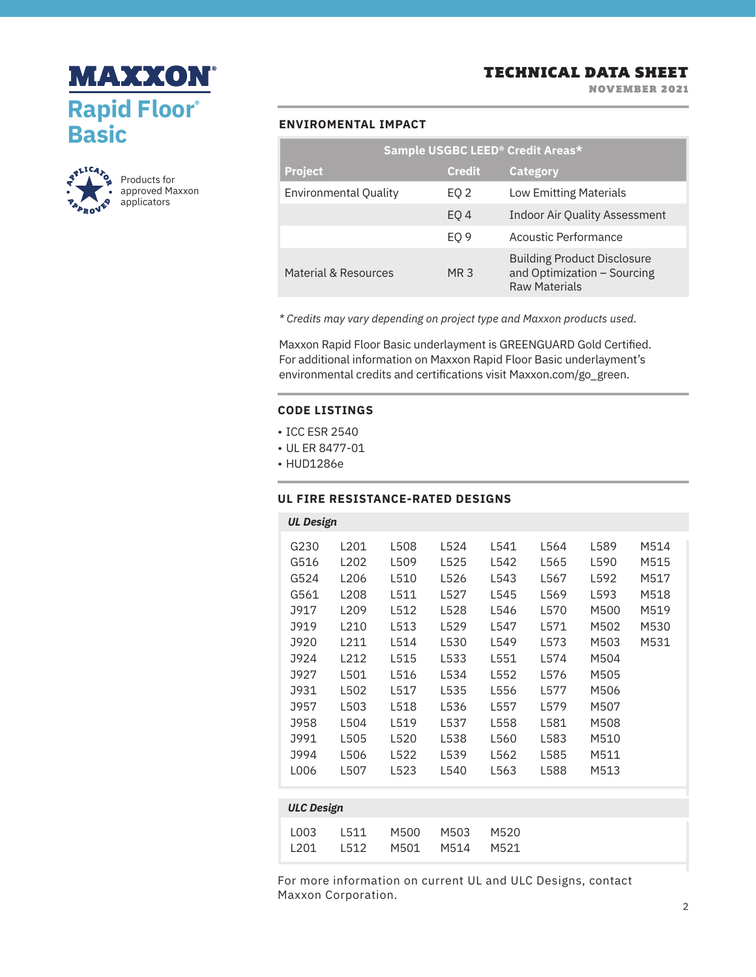



Products for approved Maxxon applicators

# TECHNICAL DATA SHEET

NOVEMBER 2021

# **ENVIROMENTAL IMPACT**

| Sample USGBC LEED <sup>®</sup> Credit Areas* |                 |                                                                                           |  |  |  |
|----------------------------------------------|-----------------|-------------------------------------------------------------------------------------------|--|--|--|
| <b>Project</b>                               | <b>Credit</b>   | <b>Category</b>                                                                           |  |  |  |
| <b>Environmental Quality</b>                 | EQ 2            | <b>Low Emitting Materials</b>                                                             |  |  |  |
|                                              | EO <sub>4</sub> | <b>Indoor Air Quality Assessment</b>                                                      |  |  |  |
|                                              | EO <sub>9</sub> | Acoustic Performance                                                                      |  |  |  |
| Material & Resources                         | MR 3            | <b>Building Product Disclosure</b><br>and Optimization - Sourcing<br><b>Raw Materials</b> |  |  |  |

*\* Credits may vary depending on project type and Maxxon products used.*

Maxxon Rapid Floor Basic underlayment is GREENGUARD Gold Certified. For additional information on Maxxon Rapid Floor Basic underlayment's environmental credits and certifications visit Maxxon.com/go\_green.

## **CODE LISTINGS**

- ICC ESR 2540
- UL ER 8477-01
- HUD1286e

# **UL FIRE RESISTANCE-RATED DESIGNS**

| <b>UL Design</b>  |                  |      |      |      |      |      |      |
|-------------------|------------------|------|------|------|------|------|------|
| G230              | L201             | L508 | L524 | L541 | L564 | L589 | M514 |
| G516              | L202             | L509 | L525 | L542 | L565 | L590 | M515 |
| G524              | L206             | L510 | L526 | L543 | L567 | L592 | M517 |
| G561              | L208             | L511 | L527 | L545 | L569 | L593 | M518 |
| <b>J917</b>       | L <sub>209</sub> | L512 | L528 | L546 | L570 | M500 | M519 |
| <b>J919</b>       | L210             | L513 | L529 | L547 | L571 | M502 | M530 |
| J920              | L211             | L514 | L530 | L549 | L573 | M503 | M531 |
| J924              | L212             | L515 | L533 | L551 | L574 | M504 |      |
| J927              | L501             | L516 | L534 | L552 | L576 | M505 |      |
| <b>J931</b>       | L502             | L517 | L535 | L556 | L577 | M506 |      |
| <b>J957</b>       | L503             | L518 | L536 | L557 | L579 | M507 |      |
| J958              | L504             | L519 | L537 | L558 | L581 | M508 |      |
| <b>J991</b>       | L505             | L520 | L538 | L560 | L583 | M510 |      |
| J994              | L506             | L522 | L539 | L562 | L585 | M511 |      |
| L006              | L507             | L523 | L540 | L563 | L588 | M513 |      |
|                   |                  |      |      |      |      |      |      |
| <b>ULC Design</b> |                  |      |      |      |      |      |      |
|                   |                  |      |      |      |      |      |      |

| 1003 | 1511 M500 M503 M520 |  |
|------|---------------------|--|
| 1201 | 1512 M501 M514 M521 |  |

For more information on current UL and ULC Designs, contact Maxxon Corporation.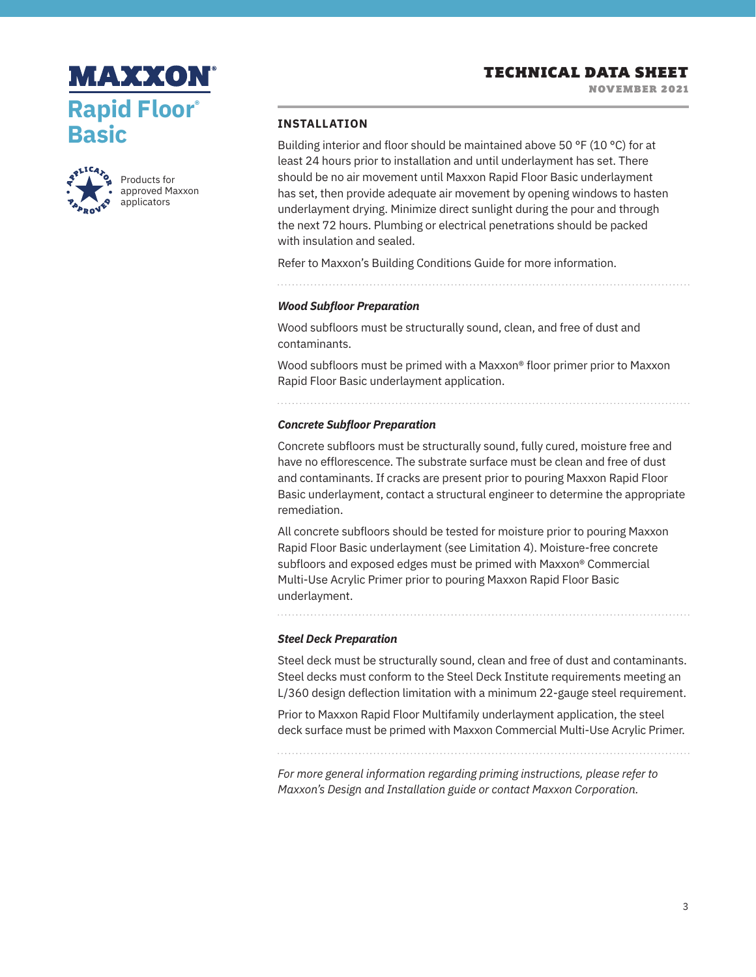NOVEMBER 2021





Products for approved Maxxon applicators

## **INSTALLATION**

Building interior and floor should be maintained above 50 °F (10 °C) for at least 24 hours prior to installation and until underlayment has set. There should be no air movement until Maxxon Rapid Floor Basic underlayment has set, then provide adequate air movement by opening windows to hasten underlayment drying. Minimize direct sunlight during the pour and through the next 72 hours. Plumbing or electrical penetrations should be packed with insulation and sealed.

Refer to Maxxon's Building Conditions Guide for more information.

*Wood Subfloor Preparation* 

Wood subfloors must be structurally sound, clean, and free of dust and contaminants.

Wood subfloors must be primed with a Maxxon® floor primer prior to Maxxon Rapid Floor Basic underlayment application.

#### *Concrete Subfloor Preparation*

Concrete subfloors must be structurally sound, fully cured, moisture free and have no efflorescence. The substrate surface must be clean and free of dust and contaminants. If cracks are present prior to pouring Maxxon Rapid Floor Basic underlayment, contact a structural engineer to determine the appropriate remediation.

All concrete subfloors should be tested for moisture prior to pouring Maxxon Rapid Floor Basic underlayment (see Limitation 4). Moisture-free concrete subfloors and exposed edges must be primed with Maxxon® Commercial Multi-Use Acrylic Primer prior to pouring Maxxon Rapid Floor Basic underlayment.

*Steel Deck Preparation*

. . . . . . . . . . . . . . . . . . . .

Steel deck must be structurally sound, clean and free of dust and contaminants. Steel decks must conform to the Steel Deck Institute requirements meeting an L/360 design deflection limitation with a minimum 22-gauge steel requirement.

Prior to Maxxon Rapid Floor Multifamily underlayment application, the steel deck surface must be primed with Maxxon Commercial Multi-Use Acrylic Primer.

*For more general information regarding priming instructions, please refer to Maxxon's Design and Installation guide or contact Maxxon Corporation.*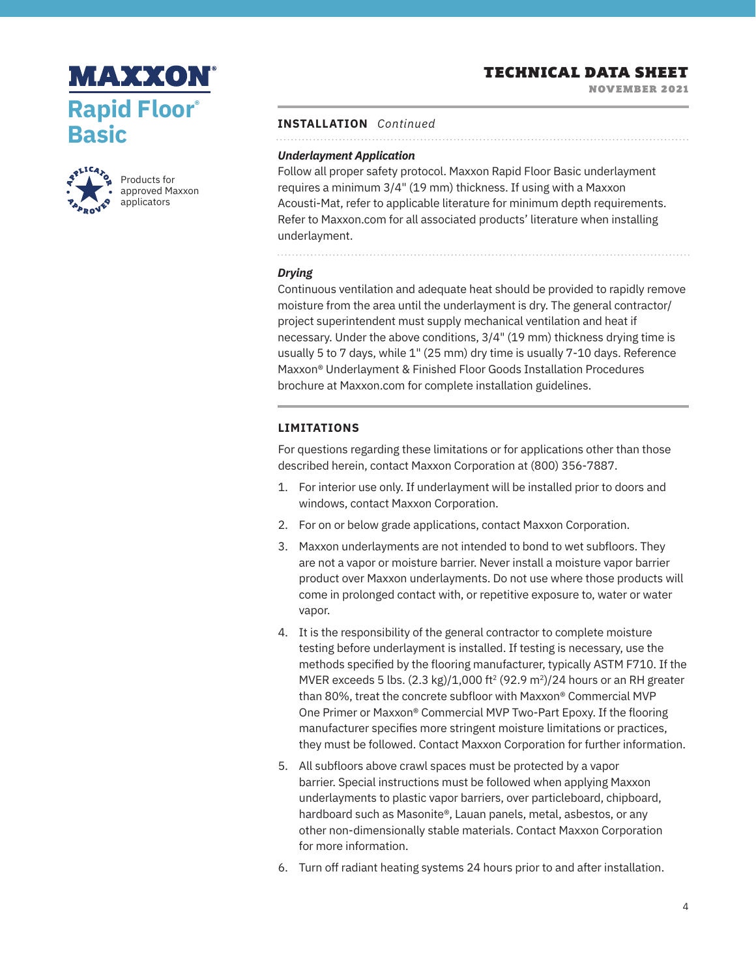# **MAXXON Rapid Floor® Basic**



Products for approved Maxxon applicators

# TECHNICAL DATA SHEET

NOVEMBER 2021

#### **INSTALLATION** *Continued*

# *Underlayment Application*

Follow all proper safety protocol. Maxxon Rapid Floor Basic underlayment requires a minimum 3/4" (19 mm) thickness. If using with a Maxxon Acousti-Mat, refer to applicable literature for minimum depth requirements. Refer to Maxxon.com for all associated products' literature when installing underlayment.

# *Drying*

Continuous ventilation and adequate heat should be provided to rapidly remove moisture from the area until the underlayment is dry. The general contractor/ project superintendent must supply mechanical ventilation and heat if necessary. Under the above conditions, 3/4" (19 mm) thickness drying time is usually 5 to 7 days, while 1" (25 mm) dry time is usually 7-10 days. Reference Maxxon® Underlayment & Finished Floor Goods Installation Procedures brochure at Maxxon.com for complete installation guidelines.

# **LIMITATIONS**

For questions regarding these limitations or for applications other than those described herein, contact Maxxon Corporation at (800) 356-7887.

- 1. For interior use only. If underlayment will be installed prior to doors and windows, contact Maxxon Corporation.
- 2. For on or below grade applications, contact Maxxon Corporation.
- 3. Maxxon underlayments are not intended to bond to wet subfloors. They are not a vapor or moisture barrier. Never install a moisture vapor barrier product over Maxxon underlayments. Do not use where those products will come in prolonged contact with, or repetitive exposure to, water or water vapor.
- 4. It is the responsibility of the general contractor to complete moisture testing before underlayment is installed. If testing is necessary, use the methods specified by the flooring manufacturer, typically ASTM F710. If the MVER exceeds 5 lbs.  $(2.3 \text{ kg})/1.000 \text{ ft}^2 (92.9 \text{ m}^2)/24$  hours or an RH greater than 80%, treat the concrete subfloor with Maxxon® Commercial MVP One Primer or Maxxon® Commercial MVP Two-Part Epoxy. If the flooring manufacturer specifies more stringent moisture limitations or practices, they must be followed. Contact Maxxon Corporation for further information.
- 5. All subfloors above crawl spaces must be protected by a vapor barrier. Special instructions must be followed when applying Maxxon underlayments to plastic vapor barriers, over particleboard, chipboard, hardboard such as Masonite®, Lauan panels, metal, asbestos, or any other non-dimensionally stable materials. Contact Maxxon Corporation for more information.
- 6. Turn off radiant heating systems 24 hours prior to and after installation.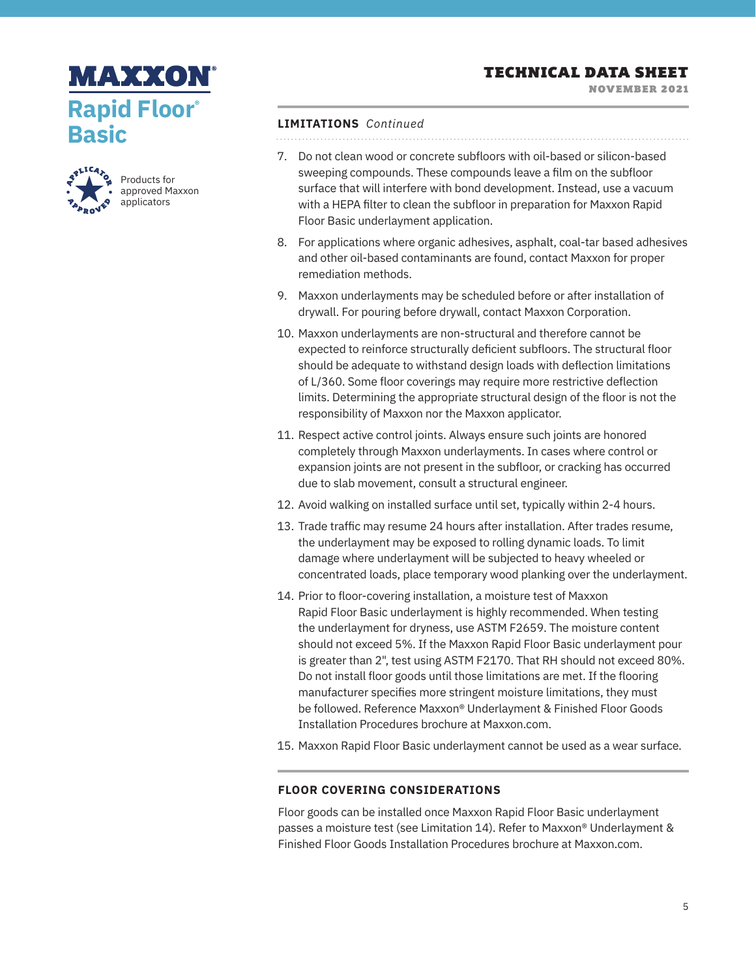NOVEMBER 2021

# **MAXXON Rapid Floor® Basic**



Products for approved Maxxon applicators

#### **LIMITATIONS** *Continued*

- 7. Do not clean wood or concrete subfloors with oil-based or silicon-based sweeping compounds. These compounds leave a film on the subfloor surface that will interfere with bond development. Instead, use a vacuum with a HEPA filter to clean the subfloor in preparation for Maxxon Rapid Floor Basic underlayment application.
- 8. For applications where organic adhesives, asphalt, coal-tar based adhesives and other oil-based contaminants are found, contact Maxxon for proper remediation methods.
- 9. Maxxon underlayments may be scheduled before or after installation of drywall. For pouring before drywall, contact Maxxon Corporation.
- 10. Maxxon underlayments are non-structural and therefore cannot be expected to reinforce structurally deficient subfloors. The structural floor should be adequate to withstand design loads with deflection limitations of L/360. Some floor coverings may require more restrictive deflection limits. Determining the appropriate structural design of the floor is not the responsibility of Maxxon nor the Maxxon applicator.
- 11. Respect active control joints. Always ensure such joints are honored completely through Maxxon underlayments. In cases where control or expansion joints are not present in the subfloor, or cracking has occurred due to slab movement, consult a structural engineer.
- 12. Avoid walking on installed surface until set, typically within 2-4 hours.
- 13. Trade traffic may resume 24 hours after installation. After trades resume, the underlayment may be exposed to rolling dynamic loads. To limit damage where underlayment will be subjected to heavy wheeled or concentrated loads, place temporary wood planking over the underlayment.
- 14. Prior to floor-covering installation, a moisture test of Maxxon Rapid Floor Basic underlayment is highly recommended. When testing the underlayment for dryness, use ASTM F2659. The moisture content should not exceed 5%. If the Maxxon Rapid Floor Basic underlayment pour is greater than 2", test using ASTM F2170. That RH should not exceed 80%. Do not install floor goods until those limitations are met. If the flooring manufacturer specifies more stringent moisture limitations, they must be followed. Reference Maxxon® Underlayment & Finished Floor Goods Installation Procedures brochure at Maxxon.com.
- 15. Maxxon Rapid Floor Basic underlayment cannot be used as a wear surface.

# **FLOOR COVERING CONSIDERATIONS**

Floor goods can be installed once Maxxon Rapid Floor Basic underlayment passes a moisture test (see Limitation 14). Refer to Maxxon® Underlayment & Finished Floor Goods Installation Procedures brochure at Maxxon.com.